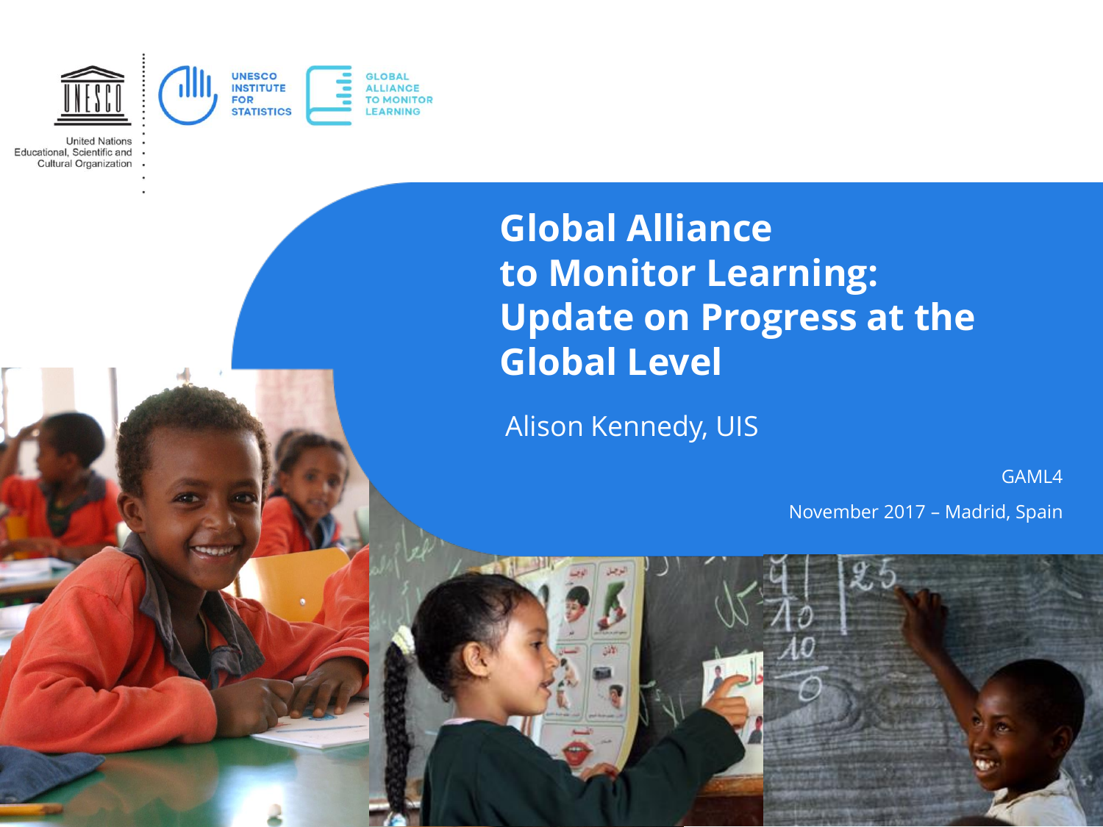

**United Nations** Educational, Scientific and **Cultural Organization** 

# **Global Alliance to Monitor Learning: Update on Progress at the Global Level**

Alison Kennedy, UIS

GAML4

November 2017 – Madrid, Spain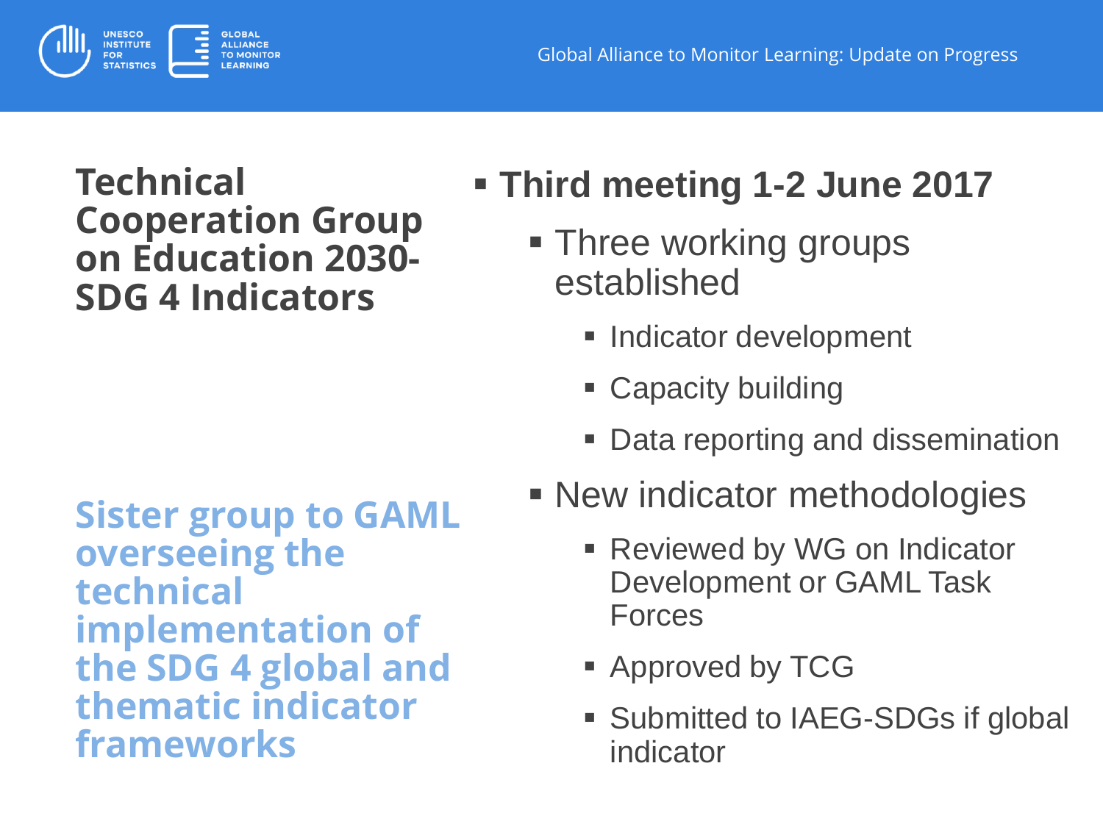

### **Technical Cooperation Group on Education 2030- SDG 4 Indicators**

**Sister group to GAML overseeing the technical implementation of the SDG 4 global and thematic indicator frameworks**

- **Third meeting 1-2 June 2017**
	- **Three working groups** established
		- **Indicator development**
		- Capacity building
		- Data reporting and dissemination
	- **New indicator methodologies** 
		- **Reviewed by WG on Indicator** Development or GAML Task **Forces**
		- **Approved by TCG**
		- **Submitted to IAEG-SDGs if global** indicator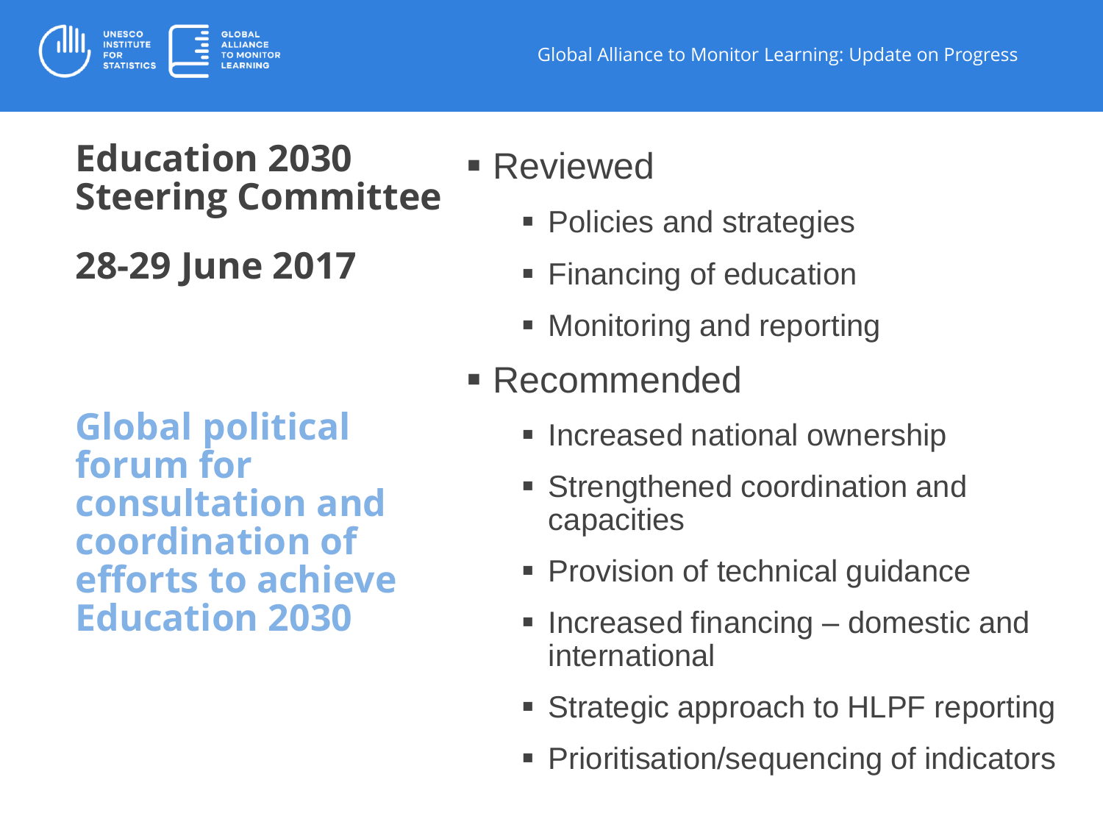

## **Education 2030 Steering Committee**

**28-29 June 2017**

**Global political forum for consultation and coordination of efforts to achieve Education 2030**

# Reviewed

- **Policies and strategies**
- **Financing of education**
- Monitoring and reporting
- Recommended
	- **Increased national ownership**
	- Strengthened coordination and capacities
	- **Provision of technical guidance**
	- $\blacksquare$  Increased financing  $-$  domestic and international
	- **Strategic approach to HLPF reporting**
	- Prioritisation/sequencing of indicators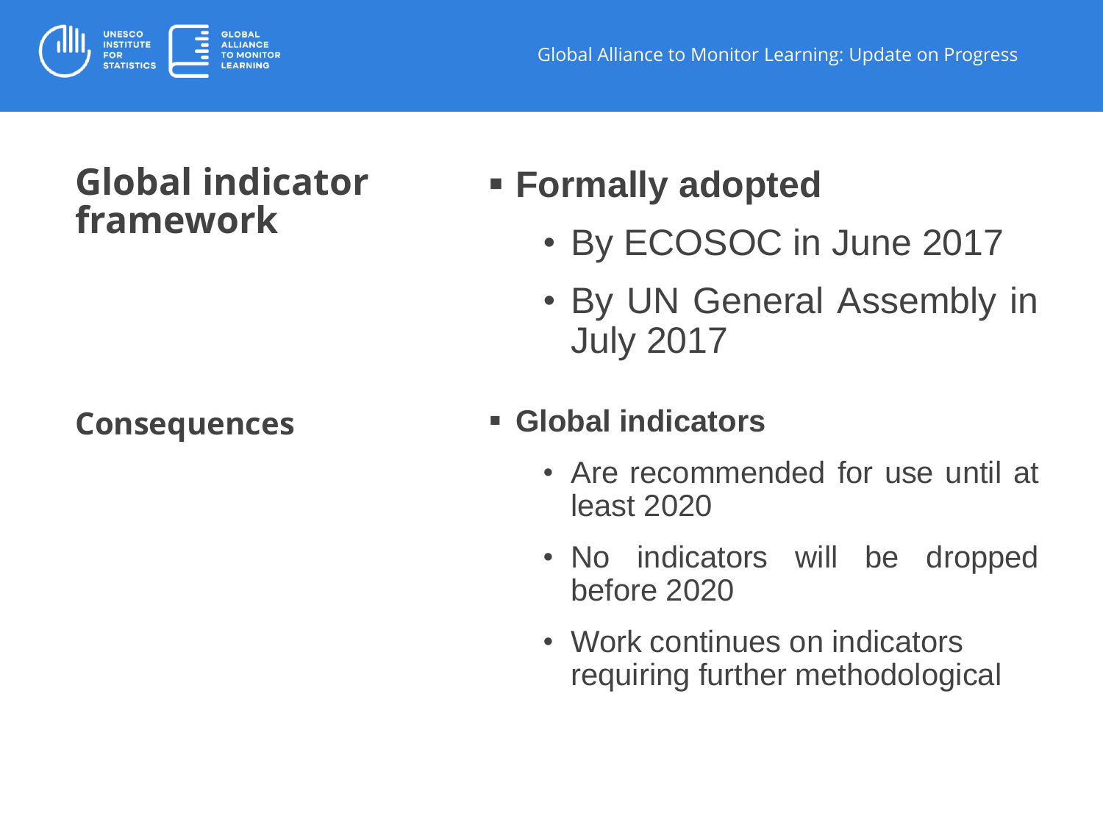

## **Global indicator framework**

# **Formally adopted**

- By ECOSOC in June 2017
- By UN General Assembly in July 2017

#### **Consequences Global indicators**

- Are recommended for use until at least 2020
- No indicators will be dropped before 2020
- Work continues on indicators requiring further methodological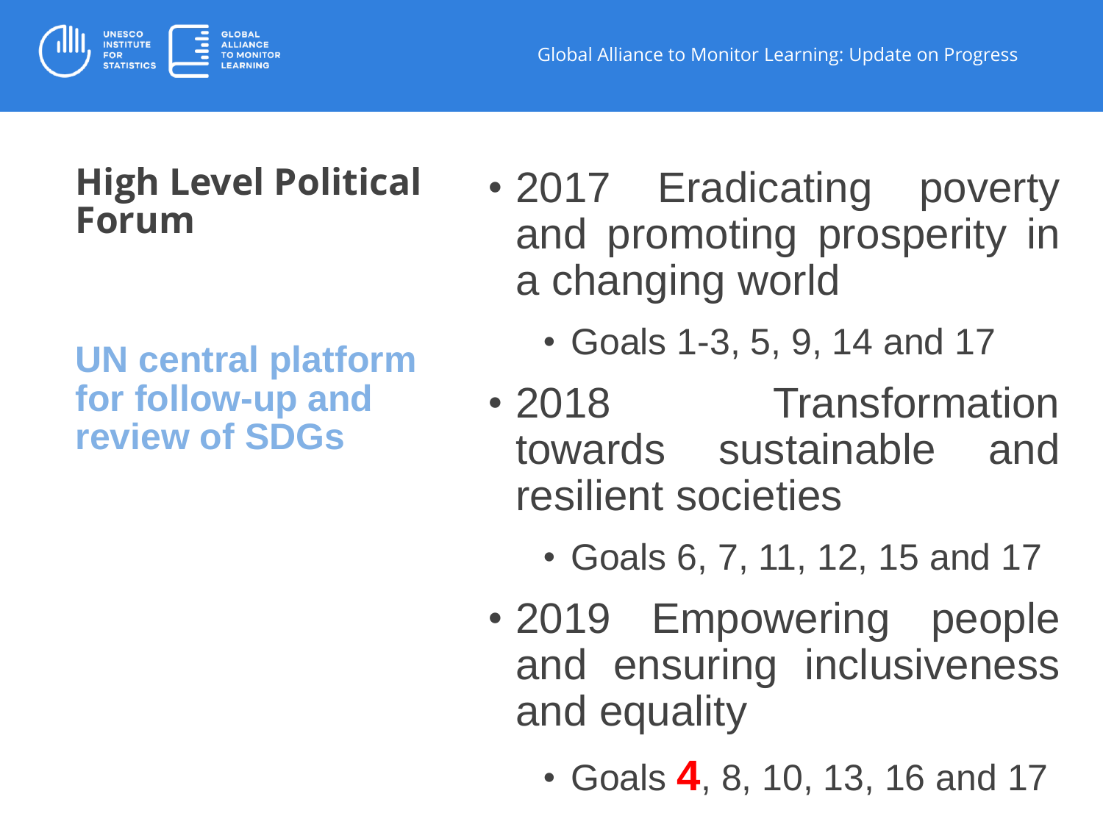



### **High Level Political Forum**

#### **UN central platform for follow-up and review of SDGs**

- 2017 Eradicating poverty and promoting prosperity in a changing world
	- Goals 1-3, 5, 9, 14 and 17
- 2018 Transformation towards sustainable and resilient societies
	- Goals 6, 7, 11, 12, 15 and 17
- 2019 Empowering people and ensuring inclusiveness and equality
	- Goals **4**, 8, 10, 13, 16 and 17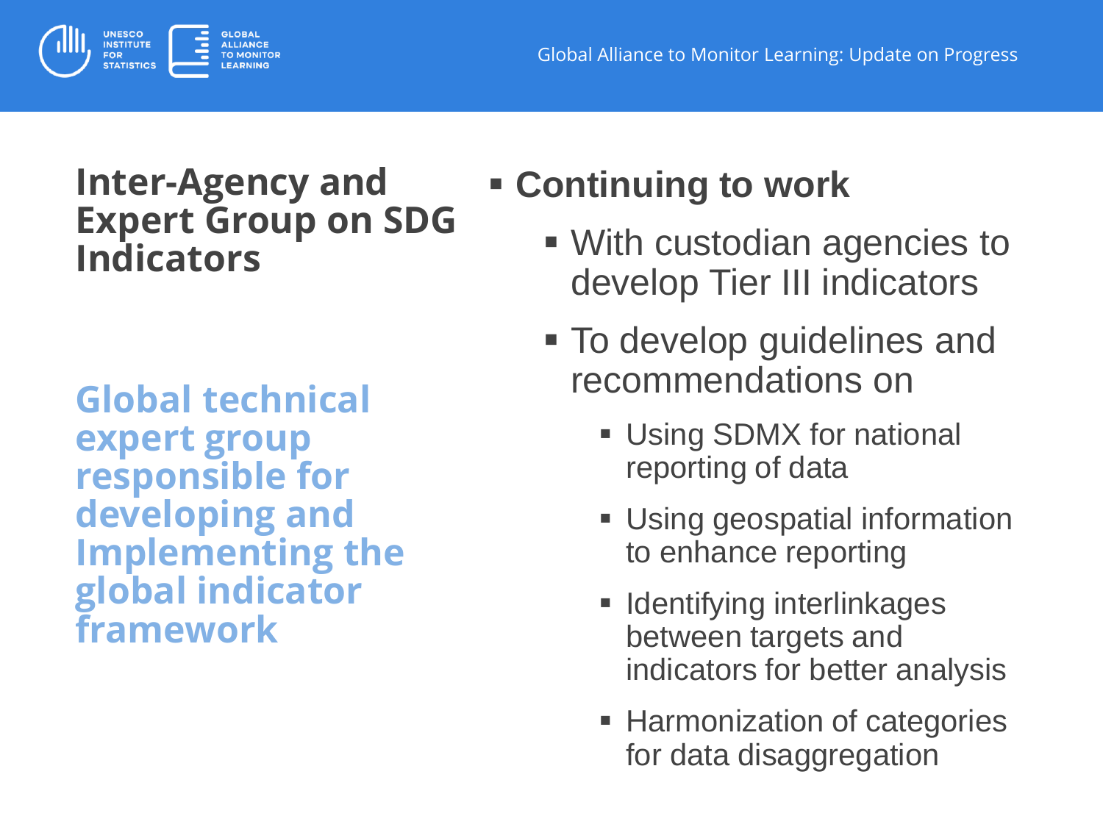

### **Inter-Agency and Expert Group on SDG Indicators**

**Global technical expert group responsible for developing and Implementing the global indicator framework**

# **Continuing to work**

- With custodian agencies to develop Tier III indicators
- To develop guidelines and recommendations on
	- **Using SDMX for national** reporting of data
	- **Using geospatial information** to enhance reporting
	- **I** Identifying interlinkages between targets and indicators for better analysis
	- **Harmonization of categories** for data disaggregation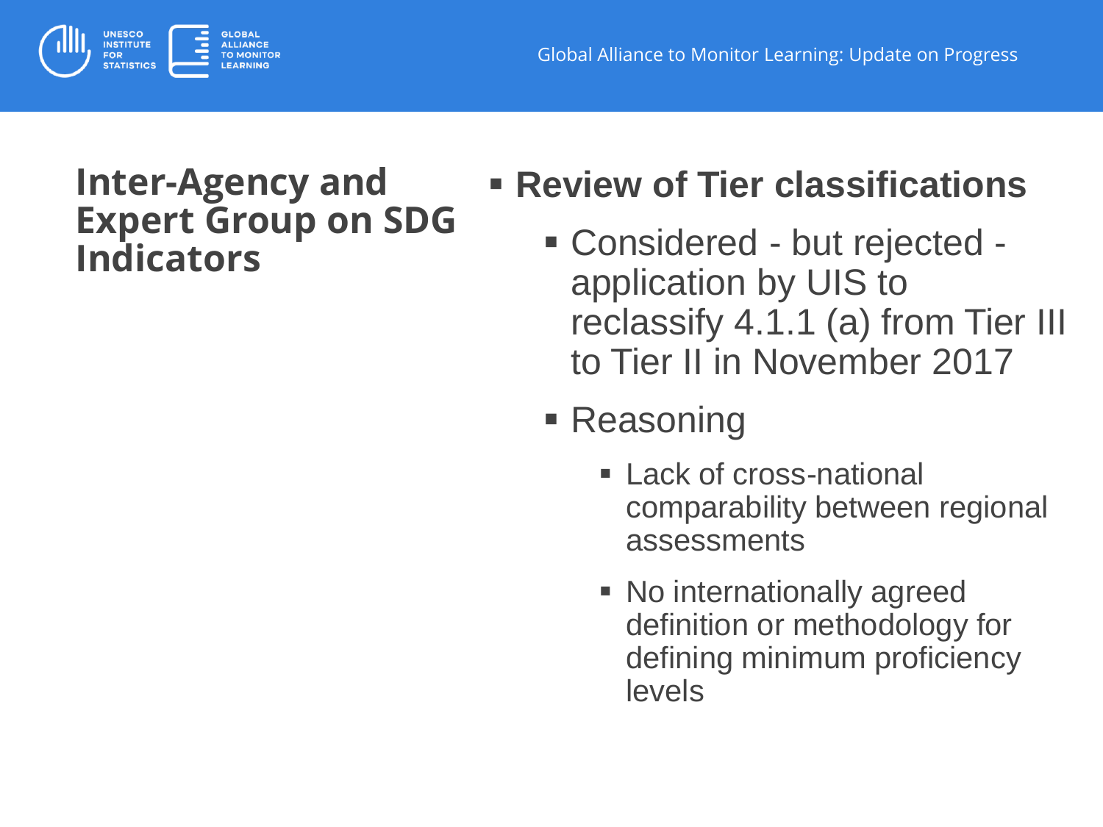

### **Inter-Agency and Expert Group on SDG Indicators**

# **Review of Tier classifications**

- Considered but rejected application by UIS to reclassify 4.1.1 (a) from Tier III to Tier II in November 2017
- Reasoning
	- **Lack of cross-national** comparability between regional assessments
	- **No internationally agreed** definition or methodology for defining minimum proficiency levels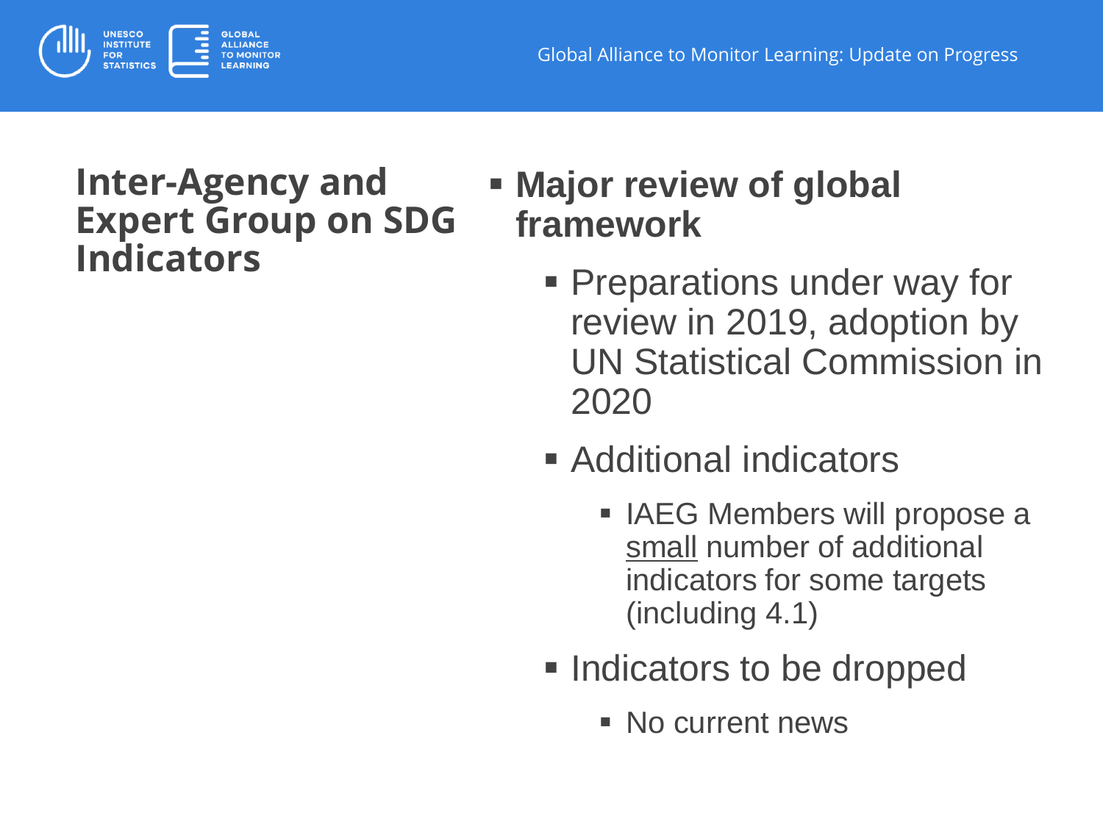

### **Inter-Agency and Expert Group on SDG Indicators**

## **Major review of global framework**

- **Preparations under way for** review in 2019, adoption by UN Statistical Commission in 2020
- Additional indicators
	- IAEG Members will propose a small number of additional indicators for some targets (including 4.1)
- **Indicators to be dropped** 
	- No current news